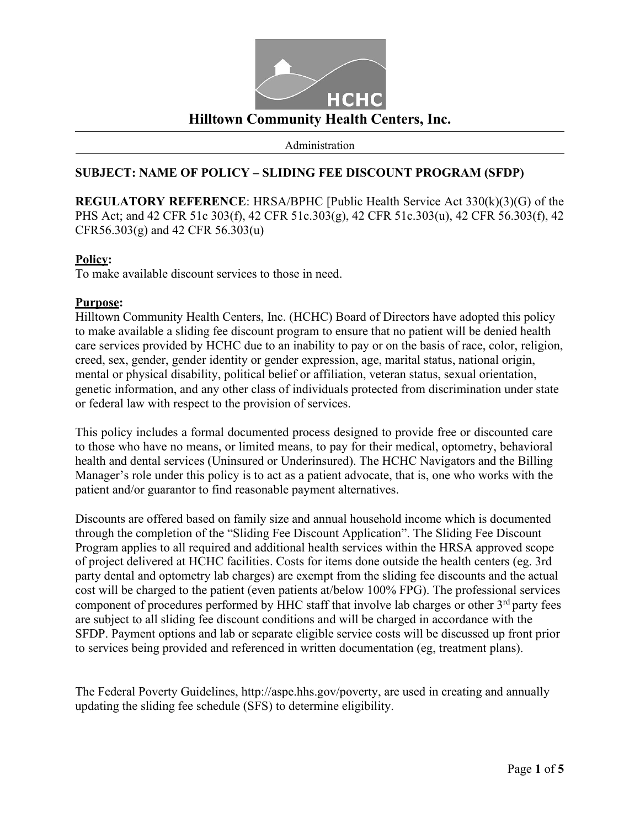

Administration

## **SUBJECT: NAME OF POLICY – SLIDING FEE DISCOUNT PROGRAM (SFDP)**

**REGULATORY REFERENCE**: HRSA/BPHC [Public Health Service Act 330(k)(3)(G) of the PHS Act; and 42 CFR 51c 303(f), 42 CFR 51c.303(g), 42 CFR 51c.303(u), 42 CFR 56.303(f), 42 CFR56.303(g) and 42 CFR 56.303(u)

## **Policy:**

To make available discount services to those in need.

## **Purpose:**

Hilltown Community Health Centers, Inc. (HCHC) Board of Directors have adopted this policy to make available a sliding fee discount program to ensure that no patient will be denied health care services provided by HCHC due to an inability to pay or on the basis of race, color, religion, creed, sex, gender, gender identity or gender expression, age, marital status, national origin, mental or physical disability, political belief or affiliation, veteran status, sexual orientation, genetic information, and any other class of individuals protected from discrimination under state or federal law with respect to the provision of services.

This policy includes a formal documented process designed to provide free or discounted care to those who have no means, or limited means, to pay for their medical, optometry, behavioral health and dental services (Uninsured or Underinsured). The HCHC Navigators and the Billing Manager's role under this policy is to act as a patient advocate, that is, one who works with the patient and/or guarantor to find reasonable payment alternatives.

Discounts are offered based on family size and annual household income which is documented through the completion of the "Sliding Fee Discount Application". The Sliding Fee Discount Program applies to all required and additional health services within the HRSA approved scope of project delivered at HCHC facilities. Costs for items done outside the health centers (eg. 3rd party dental and optometry lab charges) are exempt from the sliding fee discounts and the actual cost will be charged to the patient (even patients at/below 100% FPG). The professional services component of procedures performed by HHC staff that involve lab charges or other 3<sup>rd</sup> party fees are subject to all sliding fee discount conditions and will be charged in accordance with the SFDP. Payment options and lab or separate eligible service costs will be discussed up front prior to services being provided and referenced in written documentation (eg, treatment plans).

The Federal Poverty Guidelin[es, http://aspe.hhs.gov/poverty,](http://aspe.hhs.gov/poverty) are used in creating and annually updating the sliding fee schedule (SFS) to determine eligibility.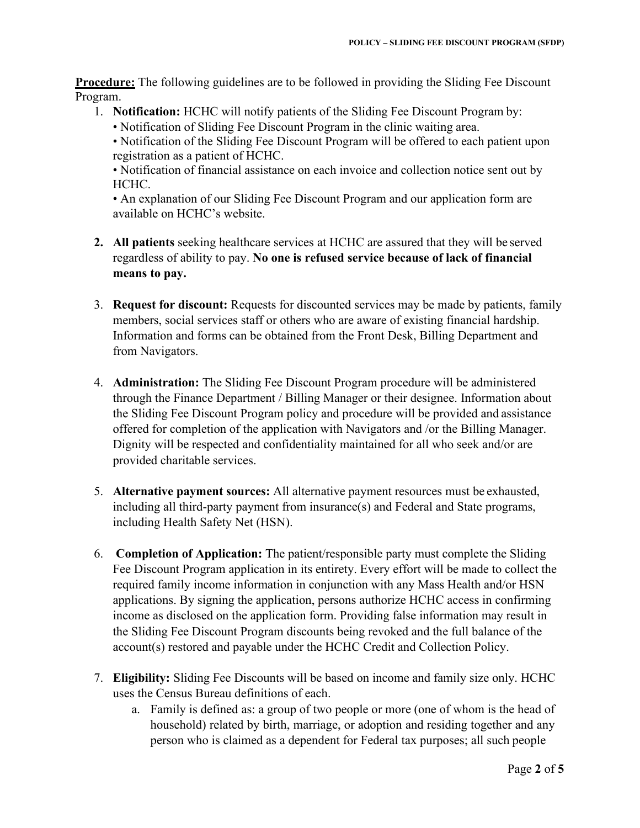**Procedure:** The following guidelines are to be followed in providing the Sliding Fee Discount Program.

- 1. **Notification:** HCHC will notify patients of the Sliding Fee Discount Program by:
	- Notification of Sliding Fee Discount Program in the clinic waiting area.

• Notification of financial assistance on each invoice and collection notice sent out by HCHC.

• An explanation of our Sliding Fee Discount Program and our application form are available on HCHC's website.

- **2. All patients** seeking healthcare services at HCHC are assured that they will be served regardless of ability to pay. **No one is refused service because of lack of financial means to pay.**
- 3. **Request for discount:** Requests for discounted services may be made by patients, family members, social services staff or others who are aware of existing financial hardship. Information and forms can be obtained from the Front Desk, Billing Department and from Navigators.
- 4. **Administration:** The Sliding Fee Discount Program procedure will be administered through the Finance Department / Billing Manager or their designee. Information about the Sliding Fee Discount Program policy and procedure will be provided and assistance offered for completion of the application with Navigators and /or the Billing Manager. Dignity will be respected and confidentiality maintained for all who seek and/or are provided charitable services.
- 5. **Alternative payment sources:** All alternative payment resources must be exhausted, including all third-party payment from insurance(s) and Federal and State programs, including Health Safety Net (HSN).
- 6. **Completion of Application:** The patient/responsible party must complete the Sliding Fee Discount Program application in its entirety. Every effort will be made to collect the required family income information in conjunction with any Mass Health and/or HSN applications. By signing the application, persons authorize HCHC access in confirming income as disclosed on the application form. Providing false information may result in the Sliding Fee Discount Program discounts being revoked and the full balance of the account(s) restored and payable under the HCHC Credit and Collection Policy.
- 7. **Eligibility:** Sliding Fee Discounts will be based on income and family size only. HCHC uses the Census Bureau definitions of each.
	- a. Family is defined as: a group of two people or more (one of whom is the head of household) related by birth, marriage, or adoption and residing together and any person who is claimed as a dependent for Federal tax purposes; all such people

<sup>•</sup> Notification of the Sliding Fee Discount Program will be offered to each patient upon registration as a patient of HCHC.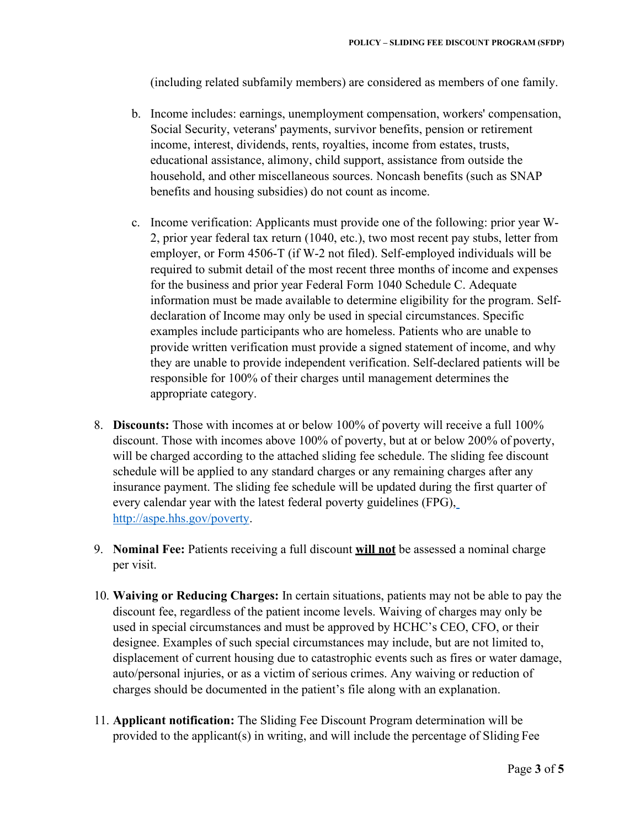(including related subfamily members) are considered as members of one family.

- b. Income includes: earnings, unemployment compensation, workers' compensation, Social Security, veterans' payments, survivor benefits, pension or retirement income, interest, dividends, rents, royalties, income from estates, trusts, educational assistance, alimony, child support, assistance from outside the household, and other miscellaneous sources. Noncash benefits (such as SNAP benefits and housing subsidies) do not count as income.
- c. Income verification: Applicants must provide one of the following: prior year W-2, prior year federal tax return (1040, etc.), two most recent pay stubs, letter from employer, or Form 4506-T (if W-2 not filed). Self-employed individuals will be required to submit detail of the most recent three months of income and expenses for the business and prior year Federal Form 1040 Schedule C. Adequate information must be made available to determine eligibility for the program. Selfdeclaration of Income may only be used in special circumstances. Specific examples include participants who are homeless. Patients who are unable to provide written verification must provide a signed statement of income, and why they are unable to provide independent verification. Self-declared patients will be responsible for 100% of their charges until management determines the appropriate category.
- 8. **Discounts:** Those with incomes at or below 100% of poverty will receive a full 100% discount. Those with incomes above 100% of poverty, but at or below 200% of poverty, will be charged according to the attached sliding fee schedule. The sliding fee discount schedule will be applied to any standard charges or any remaining charges after any insurance payment. The sliding fee schedule will be updated during the first quarter of every calendar year with the latest federal poverty guidelines (FPG), [http://aspe.hhs.gov/poverty.](http://aspe.hhs.gov/poverty)
- 9. **Nominal Fee:** Patients receiving a full discount **will not** be assessed a nominal charge per visit.
- 10. **Waiving or Reducing Charges:** In certain situations, patients may not be able to pay the discount fee, regardless of the patient income levels. Waiving of charges may only be used in special circumstances and must be approved by HCHC's CEO, CFO, or their designee. Examples of such special circumstances may include, but are not limited to, displacement of current housing due to catastrophic events such as fires or water damage, auto/personal injuries, or as a victim of serious crimes. Any waiving or reduction of charges should be documented in the patient's file along with an explanation.
- 11. **Applicant notification:** The Sliding Fee Discount Program determination will be provided to the applicant(s) in writing, and will include the percentage of Sliding Fee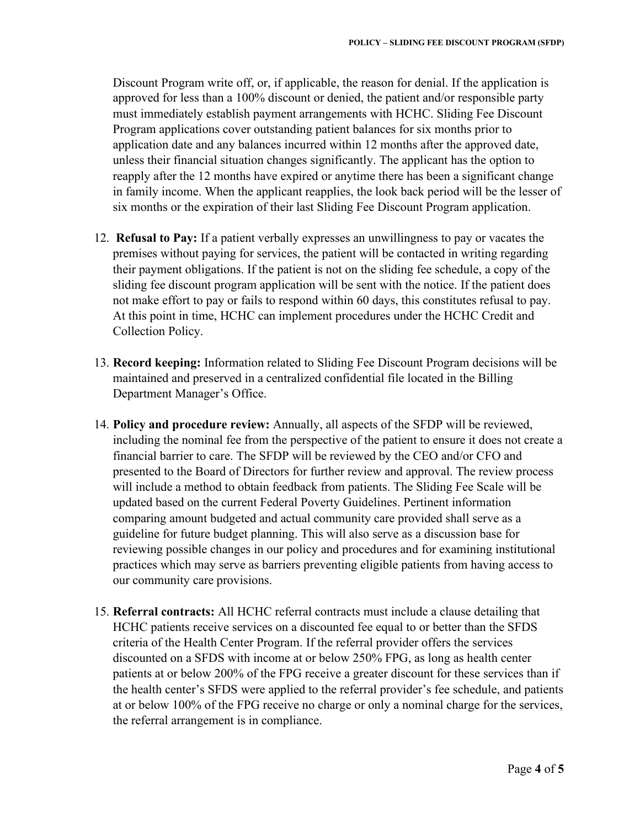Discount Program write off, or, if applicable, the reason for denial. If the application is approved for less than a 100% discount or denied, the patient and/or responsible party must immediately establish payment arrangements with HCHC. Sliding Fee Discount Program applications cover outstanding patient balances for six months prior to application date and any balances incurred within 12 months after the approved date, unless their financial situation changes significantly. The applicant has the option to reapply after the 12 months have expired or anytime there has been a significant change in family income. When the applicant reapplies, the look back period will be the lesser of six months or the expiration of their last Sliding Fee Discount Program application.

- 12. **Refusal to Pay:** If a patient verbally expresses an unwillingness to pay or vacates the premises without paying for services, the patient will be contacted in writing regarding their payment obligations. If the patient is not on the sliding fee schedule, a copy of the sliding fee discount program application will be sent with the notice. If the patient does not make effort to pay or fails to respond within 60 days, this constitutes refusal to pay. At this point in time, HCHC can implement procedures under the HCHC Credit and Collection Policy.
- 13. **Record keeping:** Information related to Sliding Fee Discount Program decisions will be maintained and preserved in a centralized confidential file located in the Billing Department Manager's Office.
- 14. **Policy and procedure review:** Annually, all aspects of the SFDP will be reviewed, including the nominal fee from the perspective of the patient to ensure it does not create a financial barrier to care. The SFDP will be reviewed by the CEO and/or CFO and presented to the Board of Directors for further review and approval. The review process will include a method to obtain feedback from patients. The Sliding Fee Scale will be updated based on the current Federal Poverty Guidelines. Pertinent information comparing amount budgeted and actual community care provided shall serve as a guideline for future budget planning. This will also serve as a discussion base for reviewing possible changes in our policy and procedures and for examining institutional practices which may serve as barriers preventing eligible patients from having access to our community care provisions.
- 15. **Referral contracts:** All HCHC referral contracts must include a clause detailing that HCHC patients receive services on a discounted fee equal to or better than the SFDS criteria of the Health Center Program. If the referral provider offers the services discounted on a SFDS with income at or below 250% FPG, as long as health center patients at or below 200% of the FPG receive a greater discount for these services than if the health center's SFDS were applied to the referral provider's fee schedule, and patients at or below 100% of the FPG receive no charge or only a nominal charge for the services, the referral arrangement is in compliance.